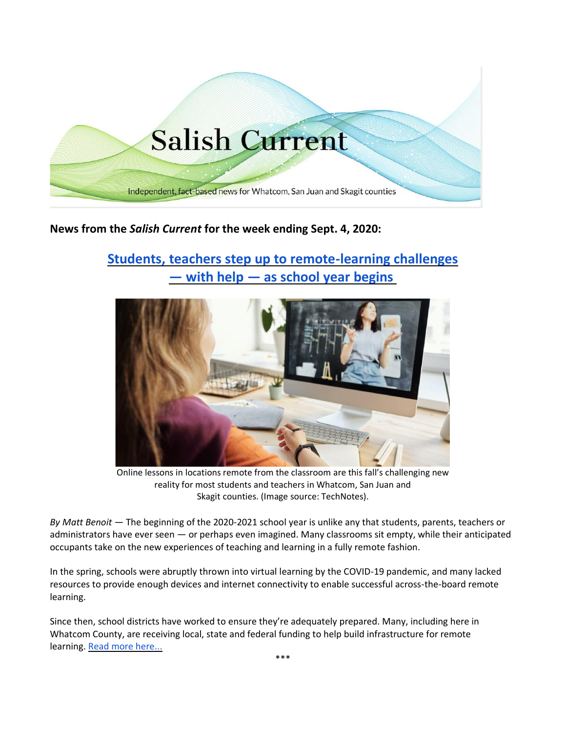

# **News from the** *Salish Current* **for the week ending Sept. 4, 2020:**

# **[Students, teachers step up to remote-learning challenges](https://salish-current.org/2020/09/04/students-teachers-step-up-to-remote-learning-challenges-as-school-year-begins/) — with help — [as school year begins](https://salish-current.org/2020/09/04/students-teachers-step-up-to-remote-learning-challenges-as-school-year-begins/)**



Online lessons in locations remote from the classroom are this fall's challenging new reality for most students and teachers in Whatcom, San Juan and Skagit counties. (Image source: TechNotes).

*By Matt Benoit —* The beginning of the 2020-2021 school year is unlike any that students, parents, teachers or administrators have ever seen — or perhaps even imagined. Many classrooms sit empty, while their anticipated occupants take on the new experiences of teaching and learning in a fully remote fashion.

In the spring, schools were abruptly thrown into virtual learning by the COVID-19 pandemic, and many lacked resources to provide enough devices and internet connectivity to enable successful across-the-board remote learning.

Since then, school districts have worked to ensure they're adequately prepared. Many, including here in Whatcom County, are receiving local, state and federal funding to help build infrastructure for remote learning. [Read more here...](https://salish-current.org/2020/09/04/students-teachers-step-up-to-remote-learning-challenges-as-school-year-begins/)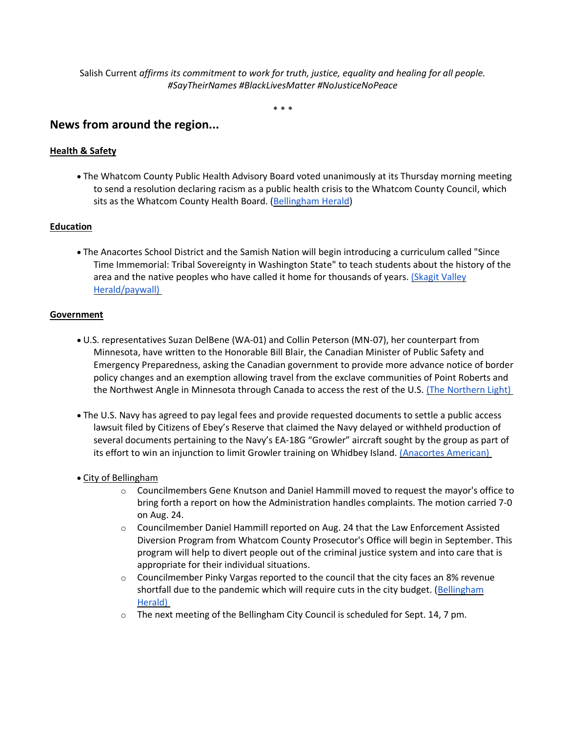Salish Current *affirms its commitment to work for truth, justice, equality and healing for all people. #SayTheirNames #BlackLivesMatter #NoJusticeNoPeace*

\* \* \*

# **News from around the region...**

## **Health & Safety**

• The Whatcom County Public Health Advisory Board voted unanimously at its Thursday morning meeting to send a resolution declaring racism as a public health crisis to the Whatcom County Council, which sits as the Whatcom County Health Board. [\(Bellingham Herald\)](https://www.bellinghamherald.com/news/local/article245465330.html)

### **Education**

• The Anacortes School District and the Samish Nation will begin introducing a curriculum called "Since Time Immemorial: Tribal Sovereignty in Washington State" to teach students about the history of the area and the native peoples who have called it home for thousands of years. (Skagit Valley [Herald/paywall\)](https://www.goskagit.com/anacortes/news/curriculum-brings-tribal-education-into-schools/article_e7d4b8b4-ec93-11ea-9d30-e77ef69f14e0.html)

#### **Government**

- U.S. representatives Suzan DelBene (WA-01) and Collin Peterson (MN-07), her counterpart from Minnesota, have written to the Honorable Bill Blair, the Canadian Minister of Public Safety and Emergency Preparedness, asking the Canadian government to provide more advance notice of border policy changes and an exemption allowing travel from the exclave communities of Point Roberts and the Northwest Angle in Minnesota through Canada to access the rest of the U.S. [\(The Northern Light\)](https://www.thenorthernlight.com/stories/us-representatives-join-forces-in-calling-for-more-flexibility-for-point-roberts,11395?)
- The U.S. Navy has agreed to pay legal fees and provide requested documents to settle a public access lawsuit filed by Citizens of Ebey's Reserve that claimed the Navy delayed or withheld production of several documents pertaining to the Navy's EA-18G "Growler" aircraft sought by the group as part of its effort to win an injunction to limit Growler training on Whidbey Island. [\(Anacortes American\)](https://www.goskagit.com/anacortes/news/citizens-of-ebey-s-reserve-wins-legal-fees-documents-in-lawsuit/article_b422b94a-ed1e-11ea-a793-bbadc9bd59b3.html)

#### • City of Bellingham

- o Councilmembers Gene Knutson and Daniel Hammill moved to request the mayor's office to bring forth a report on how the Administration handles complaints. The motion carried 7-0 on Aug. 24.
- o Councilmember Daniel Hammill reported on Aug. 24 that the Law Enforcement Assisted Diversion Program from Whatcom County Prosecutor's Office will begin in September. This program will help to divert people out of the criminal justice system and into care that is appropriate for their individual situations.
- o Councilmember Pinky Vargas reported to the council that the city faces an 8% revenue shortfall due to the pandemic which will require cuts in the city budget. (Bellingham [Herald\)](https://www.bellinghamherald.com/news/politics-government/article245396005.html)
- $\circ$  The next meeting of the Bellingham City Council is scheduled for Sept. 14, 7 pm.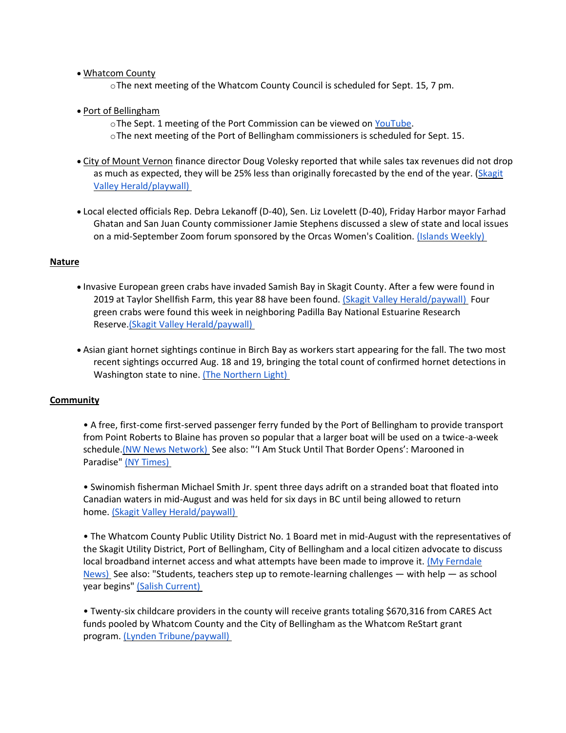#### • Whatcom County

oThe next meeting of the Whatcom County Council is scheduled for Sept. 15, 7 pm.

#### • Port of Bellingham

- oThe Sept. 1 meeting of the Port Commission can be viewed on [YouTube.](https://www.youtube.com/watch?v=ZmWGx4CqpUw)
- oThe next meeting of the Port of Bellingham commissioners is scheduled for Sept. 15.
- City of Mount Vernon finance director Doug Volesky reported that while sales tax revenues did not drop as much as expected, they will be 25% less than originally forecasted by the end of the year. [\(Skagit](https://www.goskagit.com/news/local_news/mount-vernon-revises-financial-outlook/article_9d67cc6e-8f9c-5ff7-afb1-3634e86a31f0.html)  [Valley Herald/playwall\)](https://www.goskagit.com/news/local_news/mount-vernon-revises-financial-outlook/article_9d67cc6e-8f9c-5ff7-afb1-3634e86a31f0.html)
- Local elected officials Rep. Debra Lekanoff (D-40), Sen. Liz Lovelett (D-40), Friday Harbor mayor Farhad Ghatan and San Juan County commissioner Jamie Stephens discussed a slew of state and local issues on a mid-September Zoom forum sponsored by the Orcas Women's Coalition. [\(Islands Weekly\)](https://www.islandsweekly.com/news/a-conversation-with-local-elected-officials/)

#### **Nature**

- Invasive European green crabs have invaded Samish Bay in Skagit County. After a few were found in 2019 at Taylor Shellfish Farm, this year 88 have been found. [\(Skagit Valley Herald/paywall\)](https://www.goskagit.com/news/local_news/fight-underway-against-invasive-crab-in-samish-bay/article_bb6dc001-6fd6-5c69-ac6d-6e0dbda98ed4.html) Four green crabs were found this week in neighboring Padilla Bay National Estuarine Research Reserve[.\(Skagit Valley Herald/paywall\)](https://www.goskagit.com/news/more-green-crabs-found-in-padilla-bay/article_9c7b4420-bd4f-5e9d-9c83-7c853b52f0e4.html)
- Asian giant hornet sightings continue in Birch Bay as workers start appearing for the fall. The two most recent sightings occurred Aug. 18 and 19, bringing the total count of confirmed hornet detections in Washington state to nine. [\(The Northern Light\)](https://www.thenorthernlight.com/stories/more-asian-giant-hornet-sightings-in-birch-bay,11398?)

## **Community**

• A free, first-come first-served passenger ferry funded by the Port of Bellingham to provide transport from Point Roberts to Blaine has proven so popular that a larger boat will be used on a twice-a-week schedule. (NW News Network) See also: "'I Am Stuck Until That Border Opens': Marooned in Paradise" [\(NY Times\)](https://www.nytimes.com/2020/09/01/us/coronavirus-point-roberts-washington-canada.html)

• Swinomish fisherman Michael Smith Jr. spent three days adrift on a stranded boat that floated into Canadian waters in mid-August and was held for six days in BC until being allowed to return home. [\(Skagit Valley Herald/paywall\)](https://www.goskagit.com/news/local_news/missing-fisherman-survives-rough-couple-of-days/article_ac9d421e-dd2a-528d-ba2c-6b0fe9b28470.html)

• The Whatcom County Public Utility District No. 1 Board met in mid-August with the representatives of the Skagit Utility District, Port of Bellingham, City of Bellingham and a local citizen advocate to discuss local broadband internet access and what attempts have been made to improve it. [\(My Ferndale](https://myferndalenews.com/rural-internet-challenges-magnified-under-stay-at-home-mandates_106659/)  [News\)](https://myferndalenews.com/rural-internet-challenges-magnified-under-stay-at-home-mandates_106659/) See also: "Students, teachers step up to remote-learning challenges — with help — as school year begins" [\(Salish Current\)](https://salish-current.org/2020/09/04/students-teachers-step-up-to-remote-learning-challenges-as-school-year-begins/)

• Twenty-six childcare providers in the county will receive grants totaling \$670,316 from CARES Act funds pooled by Whatcom County and the City of Bellingham as the Whatcom ReStart grant program. [\(Lynden Tribune/paywall\)](https://www.lyndentribune.com/news/whatcom-ymca-largest-of-childcare-grant-recipients-in-all-26-local-providers-will-get-670/article_ea541d38-eeb8-11ea-862b-63f1524882ef.html)